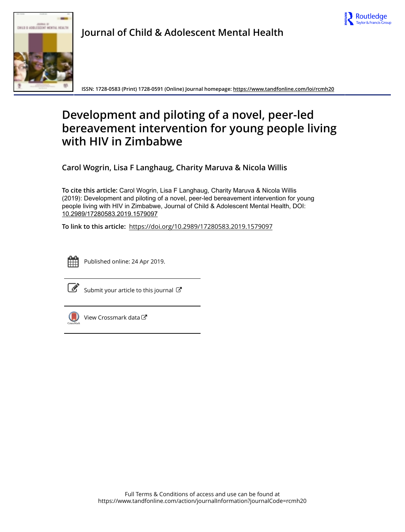



**Journal of Child & Adolescent Mental Health**

**ISSN: 1728-0583 (Print) 1728-0591 (Online) Journal homepage:<https://www.tandfonline.com/loi/rcmh20>**

# **Development and piloting of a novel, peer-led bereavement intervention for young people living with HIV in Zimbabwe**

**Carol Wogrin, Lisa F Langhaug, Charity Maruva & Nicola Willis**

**To cite this article:** Carol Wogrin, Lisa F Langhaug, Charity Maruva & Nicola Willis (2019): Development and piloting of a novel, peer-led bereavement intervention for young people living with HIV in Zimbabwe, Journal of Child & Adolescent Mental Health, DOI: [10.2989/17280583.2019.1579097](https://www.tandfonline.com/action/showCitFormats?doi=10.2989/17280583.2019.1579097)

**To link to this article:** <https://doi.org/10.2989/17280583.2019.1579097>



Published online: 24 Apr 2019.

[Submit your article to this journal](https://www.tandfonline.com/action/authorSubmission?journalCode=rcmh20&show=instructions)  $\mathbb{Z}$ 



[View Crossmark data](http://crossmark.crossref.org/dialog/?doi=10.2989/17280583.2019.1579097&domain=pdf&date_stamp=2019-04-24)<sup>C</sup>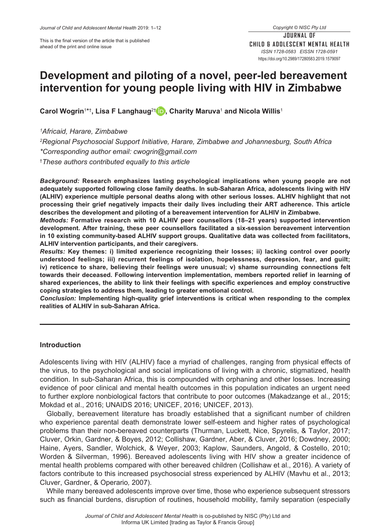This is the final version of the article that is published ahead of the print and online issue

# **Development and piloting of a novel, peer-led bereavement intervention for young people living with HIV in Zimbabwe**

**Carol Wogrin**1\*†**, Lisa F Langhaug**2† **[,](https://orcid.org/0000-0002-9131-8158) Charity Maruva**<sup>1</sup> **and Nicola Willis**<sup>1</sup>

*1Africaid, Harare, Zimbabwe*

*2Regional Psychosocial Support Initiative, Harare, Zimbabwe and Johannesburg, South Africa \*Corresponding author email: cwogrin@gmail.com*

†*These authors contributed equally to this article*

*Background:* **Research emphasizes lasting psychological implications when young people are not adequately supported following close family deaths. In sub-Saharan Africa, adolescents living with HIV (ALHIV) experience multiple personal deaths along with other serious losses. ALHIV highlight that not processing their grief negatively impacts their daily lives including their ART adherence. This article describes the development and piloting of a bereavement intervention for ALHIV in Zimbabwe.**

*Methods:* **Formative research with 10 ALHIV peer counsellors (18–21 years) supported intervention development. After training, these peer counsellors facilitated a six-session bereavement intervention in 10 existing community-based ALHIV support groups. Qualitative data was collected from facilitators, ALHIV intervention participants, and their caregivers.**

*Results:* **Key themes: i) limited experience recognizing their losses; ii) lacking control over poorly understood feelings; iii) recurrent feelings of isolation, hopelessness, depression, fear, and guilt; iv) reticence to share, believing their feelings were unusual; v) shame surrounding connections felt towards their deceased. Following intervention implementation, members reported relief in learning of shared experiences, the ability to link their feelings with specific experiences and employ constructive coping strategies to address them, leading to greater emotional control.**

*Conclusion:* **Implementing high-quality grief interventions is critical when responding to the complex realities of ALHIV in sub-Saharan Africa.**

# **Introduction**

Adolescents living with HIV (ALHIV) face a myriad of challenges, ranging from physical effects of the virus, to the psychological and social implications of living with a chronic, stigmatized, health condition. In sub-Saharan Africa, this is compounded with orphaning and other losses. Increasing evidence of poor clinical and mental health outcomes in this population indicates an urgent need to further explore nonbiological factors that contribute to poor outcomes (Makadzange et al., 2015; Mokdad et al., 2016; UNAIDS 2016; UNICEF, 2016; UNICEF, 2013).

Globally, bereavement literature has broadly established that a significant number of children who experience parental death demonstrate lower self-esteem and higher rates of psychological problems than their non-bereaved counterparts (Thurman, Luckett, Nice, Spyrelis, & Taylor, 2017; Cluver, Orkin, Gardner, & Boyes, 2012; Collishaw, Gardner, Aber, & Cluver, 2016; Dowdney, 2000; Haine, Ayers, Sandler, Wolchick, & Weyer, 2003; Kaplow, Saunders, Angold, & Costello, 2010; Worden & Silverman, 1996). Bereaved adolescents living with HIV show a greater incidence of mental health problems compared with other bereaved children (Collishaw et al., 2016). A variety of factors contribute to this increased psychosocial stress experienced by ALHIV (Mavhu et al., 2013; Cluver, Gardner, & Operario*,* 2007).

While many bereaved adolescents improve over time, those who experience subsequent stressors such as financial burdens, disruption of routines, household mobility, family separation (especially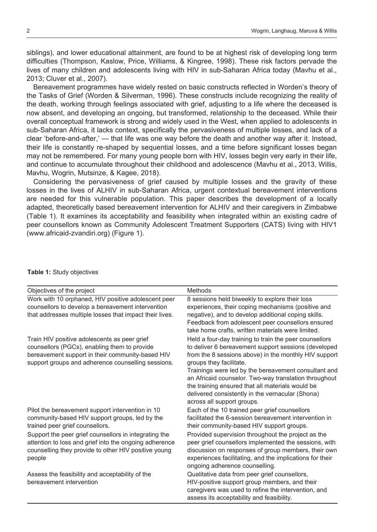siblings), and lower educational attainment, are found to be at highest risk of developing long term difficulties (Thompson, Kaslow, Price, Williams, & Kingree, 1998). These risk factors pervade the lives of many children and adolescents living with HIV in sub-Saharan Africa today (Mavhu et al., 2013; Cluver et al., 2007).

Bereavement programmes have widely rested on basic constructs reflected in Worden's theory of the Tasks of Grief (Worden & Silverman, 1996). These constructs include recognizing the reality of the death, working through feelings associated with grief, adjusting to a life where the deceased is now absent, and developing an ongoing, but transformed, relationship to the deceased. While their overall conceptual framework is strong and widely used in the West, when applied to adolescents in sub-Saharan Africa, it lacks context, specifically the pervasiveness of multiple losses, and lack of a clear 'before-and-after,' — that life was one way before the death and another way after it. Instead, their life is constantly re-shaped by sequential losses, and a time before significant losses began may not be remembered. For many young people born with HIV, losses begin very early in their life, and continue to accumulate throughout their childhood and adolescence (Mavhu et al., 2013, Willis, Mavhu, Wogrin, Mutsinze, & Kagee, 2018).

Considering the pervasiveness of grief caused by multiple losses and the gravity of these losses in the lives of ALHIV in sub-Saharan Africa, urgent contextual bereavement interventions are needed for this vulnerable population. This paper describes the development of a locally adapted, theoretically based bereavement intervention for ALHIV and their caregivers in Zimbabwe (Table 1). It examines its acceptability and feasibility when integrated within an existing cadre of peer counsellors known as Community Adolescent Treatment Supporters (CATS) living with HIV1 (www.africaid-zvandiri.org) (Figure 1).

| Objectives of the project                                                                              | Methods                                                                                                |
|--------------------------------------------------------------------------------------------------------|--------------------------------------------------------------------------------------------------------|
| Work with 10 orphaned, HIV positive adolescent peer                                                    | 8 sessions held biweekly to explore their loss                                                         |
| counsellors to develop a bereavement intervention                                                      | experiences, their coping mechanisms (positive and                                                     |
| that addresses multiple losses that impact their lives.                                                | negative), and to develop additional coping skills.                                                    |
|                                                                                                        | Feedback from adolescent peer counsellors ensured<br>take home crafts, written materials were limited. |
| Train HIV positive adolescents as peer grief                                                           | Held a four-day training to train the peer counsellors                                                 |
| counsellors (PGCs), enabling them to provide                                                           | to deliver 6 bereavement support sessions (developed                                                   |
| bereavement support in their community-based HIV<br>support groups and adherence counselling sessions. | from the 8 sessions above) in the monthly HIV support<br>groups they facilitate.                       |
|                                                                                                        | Trainings were led by the bereavement consultant and                                                   |
|                                                                                                        | an Africaid counselor. Two-way translation throughout                                                  |
|                                                                                                        | the training ensured that all materials would be                                                       |
|                                                                                                        | delivered consistently in the vernacular (Shona)                                                       |
|                                                                                                        | across all support groups.                                                                             |
| Pilot the bereavement support intervention in 10<br>community-based HIV support groups, led by the     | Each of the 10 trained peer grief counsellors<br>facilitated the 6-session bereavement intervention in |
| trained peer grief counsellors.                                                                        | their community-based HIV support groups.                                                              |
| Support the peer grief counsellors in integrating the                                                  | Provided supervision throughout the project as the                                                     |
| attention to loss and grief into the ongoing adherence                                                 | peer grief counsellors implemented the sessions, with                                                  |
| counselling they provide to other HIV positive young                                                   | discussion on responses of group members, their own                                                    |
| people                                                                                                 | experiences facilitating, and the implications for their                                               |
|                                                                                                        | ongoing adherence counselling.                                                                         |
| Assess the feasibility and acceptability of the                                                        | Qualitative data from peer grief counsellors,                                                          |
| bereavement intervention                                                                               | HIV-positive support group members, and their                                                          |
|                                                                                                        | caregivers was used to refine the intervention, and<br>assess its acceptability and feasibility.       |
|                                                                                                        |                                                                                                        |

#### **Table 1:** Study objectives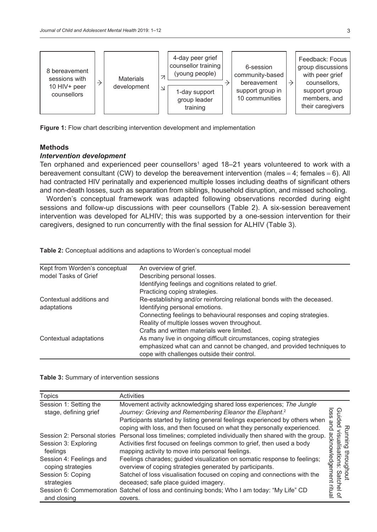

**Figure 1:** Flow chart describing intervention development and implementation

#### **Methods**

#### *Intervention development*

Ten orphaned and experienced peer counsellors<sup>1</sup> aged 18–21 years volunteered to work with a bereavement consultant (CW) to develop the bereavement intervention (males =  $4$ ; females =  $6$ ). All had contracted HIV perinatally and experienced multiple losses including deaths of significant others and non-death losses, such as separation from siblings, household disruption, and missed schooling.

Worden's conceptual framework was adapted following observations recorded during eight sessions and follow-up discussions with peer counsellors (Table 2). A six-session bereavement intervention was developed for ALHIV; this was supported by a one-session intervention for their caregivers, designed to run concurrently with the final session for ALHIV (Table 3).

| Table 2: Conceptual additions and adaptions to Worden's conceptual model |  |  |  |  |  |
|--------------------------------------------------------------------------|--|--|--|--|--|
|--------------------------------------------------------------------------|--|--|--|--|--|

| Kept from Worden's conceptual | An overview of grief.                                                  |
|-------------------------------|------------------------------------------------------------------------|
| model Tasks of Grief          | Describing personal losses.                                            |
|                               | Identifying feelings and cognitions related to grief.                  |
|                               | Practicing coping strategies.                                          |
| Contextual additions and      | Re-establishing and/or reinforcing relational bonds with the deceased. |
| adaptations                   | Identifying personal emotions.                                         |
|                               | Connecting feelings to behavioural responses and coping strategies.    |
|                               | Reality of multiple losses woven throughout.                           |
|                               | Crafts and written materials were limited.                             |
| Contextual adaptations        | As many live in ongoing difficult circumstances, coping strategies     |
|                               | emphasized what can and cannot be changed, and provided techniques to  |
|                               | cope with challenges outside their control.                            |

#### **Table 3:** Summary of intervention sessions

| Topics                                                          | Activities                                                                                                                                                                                                                                                                                            |           |       |
|-----------------------------------------------------------------|-------------------------------------------------------------------------------------------------------------------------------------------------------------------------------------------------------------------------------------------------------------------------------------------------------|-----------|-------|
| Session 1: Setting the<br>stage, defining grief                 | Movement activity acknowledging shared loss experiences; The Jungle<br>Journey: Grieving and Remembering Eleanor the Elephant. <sup>2</sup><br>Participants started by listing general feelings experienced by others when<br>coping with loss, and then focused on what they personally experienced. | ဝွ<br>and | Guide |
| Session 2: Personal stories<br>Session 3: Exploring<br>feelings | Personal loss timelines; completed individually then shared with the group.<br>Activities first focused on feelings common to grief, then used a body<br>mapping activity to move into personal feelings.                                                                                             | న         | Б     |
| Session 4: Feelings and<br>coping strategies                    | Feelings charades; guided visualization on somatic response to feelings;<br>overview of coping strategies generated by participants.                                                                                                                                                                  |           | ᇹ     |
| Session 5: Coping<br>strategies                                 | Satchel of loss visualisation focused on coping and connections with the<br>deceased; safe place guided imagery.                                                                                                                                                                                      |           | atch  |
| and closing                                                     | Session 6: Commemoration Satchel of loss and continuing bonds; Who I am today: "My Life" CD<br>covers.                                                                                                                                                                                                | Б         |       |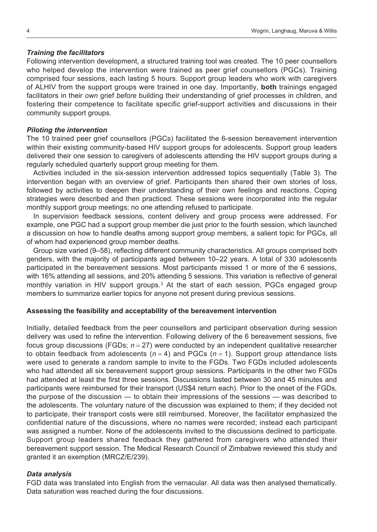#### *Training the facilitators*

Following intervention development, a structured training tool was created. The 10 peer counsellors who helped develop the intervention were trained as peer grief counsellors (PGCs). Training comprised four sessions, each lasting 5 hours. Support group leaders who work with caregivers of ALHIV from the support groups were trained in one day. Importantly, **both** trainings engaged facilitators in their *own* grief *before* building their understanding of grief processes in children, and fostering their competence to facilitate specific grief-support activities and discussions in their community support groups.

#### *Piloting the intervention*

The 10 trained peer grief counsellors (PGCs) facilitated the 6-session bereavement intervention within their existing community-based HIV support groups for adolescents. Support group leaders delivered their one session to caregivers of adolescents attending the HIV support groups during a regularly scheduled quarterly support group meeting for them.

Activities included in the six-session intervention addressed topics sequentially (Table 3). The intervention began with an overview of grief. Participants then shared their own stories of loss, followed by activities to deepen their understanding of their own feelings and reactions. Coping strategies were described and then practiced. These sessions were incorporated into the regular monthly support group meetings; no one attending refused to participate.

In supervision feedback sessions, content delivery and group process were addressed. For example, one PGC had a support group member die just prior to the fourth session, which launched a discussion on how to handle deaths among support group members, a salient topic for PGCs, all of whom had experienced group member deaths.

Group size varied (9–58), reflecting different community characteristics. All groups comprised both genders, with the majority of participants aged between 10–22 years. A total of 330 adolescents participated in the bereavement sessions. Most participants missed 1 or more of the 6 sessions, with 16% attending all sessions, and 20% attending 5 sessions. This variation is reflective of general monthly variation in HIV support groups.<sup>3</sup> At the start of each session, PGCs engaged group members to summarize earlier topics for anyone not present during previous sessions.

#### **Assessing the feasibility and acceptability of the bereavement intervention**

Initially, detailed feedback from the peer counsellors and participant observation during session delivery was used to refine the intervention. Following delivery of the 6 bereavement sessions, five focus group discussions (FGDs; *n* = 27) were conducted by an independent qualitative researcher to obtain feedback from adolescents  $(n=4)$  and PGCs  $(n=1)$ . Support group attendance lists were used to generate a random sample to invite to the FGDs. Two FGDs included adolescents who had attended all six bereavement support group sessions. Participants in the other two FGDs had attended at least the first three sessions. Discussions lasted between 30 and 45 minutes and participants were reimbursed for their transport (US\$4 return each). Prior to the onset of the FGDs, the purpose of the discussion — to obtain their impressions of the sessions — was described to the adolescents. The voluntary nature of the discussion was explained to them; if they decided not to participate, their transport costs were still reimbursed. Moreover, the facilitator emphasized the confidential nature of the discussions, where no names were recorded; instead each participant was assigned a number. None of the adolescents invited to the discussions declined to participate. Support group leaders shared feedback they gathered from caregivers who attended their bereavement support session. The Medical Research Council of Zimbabwe reviewed this study and granted it an exemption (MRCZ/E/239).

#### *Data analysis*

FGD data was translated into English from the vernacular. All data was then analysed thematically. Data saturation was reached during the four discussions.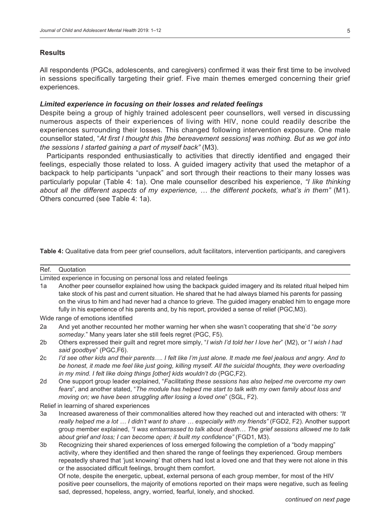## **Results**

All respondents (PGCs, adolescents, and caregivers) confirmed it was their first time to be involved in sessions specifically targeting their grief. Five main themes emerged concerning their grief experiences.

#### *Limited experience in focusing on their losses and related feelings*

Despite being a group of highly trained adolescent peer counsellors, well versed in discussing numerous aspects of their experiences of living with HIV, none could readily describe the experiences surrounding their losses. This changed following intervention exposure. One male counsellor stated, "*At first I thought this [the bereavement sessions] was nothing. But as we got into the sessions I started gaining a part of myself back"* (M3).

Participants responded enthusiastically to activities that directly identified and engaged their feelings, especially those related to loss. A guided imagery activity that used the metaphor of a backpack to help participants "unpack" and sort through their reactions to their many losses was particularly popular (Table 4: 1a). One male counsellor described his experience, *"I like thinking about all the different aspects of my experience, … the different pockets, what's in them"* (M1). Others concurred (see Table 4: 1a).

**Table 4:** Qualitative data from peer grief counsellors, adult facilitators, intervention participants, and caregivers

| Ref. | Quotation                                                                                                                                                                                                                                                                                                                                                                                                                             |
|------|---------------------------------------------------------------------------------------------------------------------------------------------------------------------------------------------------------------------------------------------------------------------------------------------------------------------------------------------------------------------------------------------------------------------------------------|
|      | Limited experience in focusing on personal loss and related feelings                                                                                                                                                                                                                                                                                                                                                                  |
| 1a   | Another peer counsellor explained how using the backpack guided imagery and its related ritual helped him<br>take stock of his past and current situation. He shared that he had always blamed his parents for passing<br>on the virus to him and had never had a chance to grieve. The quided imagery enabled him to engage more<br>fully in his experience of his parents and, by his report, provided a sense of relief (PGC, M3). |
|      | Wide range of emotions identified                                                                                                                                                                                                                                                                                                                                                                                                     |
| 2a   | And yet another recounted her mother warning her when she wasn't cooperating that she'd "be sorry<br>someday." Many years later she still feels regret (PGC, F5).                                                                                                                                                                                                                                                                     |
| 2b   | Others expressed their guilt and regret more simply, "I wish I'd told her I love her" (M2), or "I wish I had<br>said goodbye" (PGC,F6).                                                                                                                                                                                                                                                                                               |

- 2c *I'd see other kids and their parents…. I felt like I'm just alone. It made me feel jealous and angry. And to*  be honest, it made me feel like just going, killing myself. All the suicidal thoughts, they were overloading in my mind. I felt like doing things [other] kids wouldn't do (PGC,F2).
- 2d One support group leader explained, "*Facilitating these sessions has also helped me overcome my own fears*", and another stated, "*The module has helped me start to talk with my own family about loss and moving on; we have been struggling after losing a loved one*" (SGL, F2).

Relief in learning of shared experiences

- 3a Increased awareness of their commonalities altered how they reached out and interacted with others: *"It really helped me a lot … I didn't want to share … especially with my friends"* (FGD2, F2). Another support group member explained, *"I was embarrassed to talk about death… The grief sessions allowed me to talk about grief and loss; I can become open; it built my confidence"* (FGD1, M3).
- 3b Recognizing their shared experiences of loss emerged following the completion of a "body mapping" activity, where they identified and then shared the range of feelings they experienced. Group members repeatedly shared that 'just knowing' that others had lost a loved one and that they were not alone in this or the associated difficult feelings, brought them comfort.

Of note, despite the energetic, upbeat, external persona of each group member, for most of the HIV positive peer counsellors, the majority of emotions reported on their maps were negative, such as feeling sad, depressed, hopeless, angry, worried, fearful, lonely, and shocked.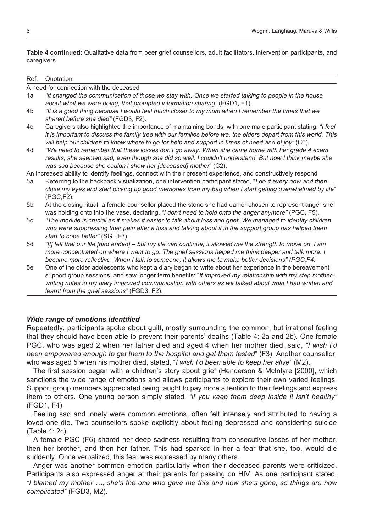**Table 4 continued:** Qualitative data from peer grief counsellors, adult facilitators, intervention participants, and caregivers

| Ref.           | Quotation                                                                                                                                                                                                                                                                                                                                                                |
|----------------|--------------------------------------------------------------------------------------------------------------------------------------------------------------------------------------------------------------------------------------------------------------------------------------------------------------------------------------------------------------------------|
|                | A need for connection with the deceased                                                                                                                                                                                                                                                                                                                                  |
| 4a             | "It changed the communication of those we stay with. Once we started talking to people in the house<br>about what we were doing, that prompted information sharing" (FGD1, F1).                                                                                                                                                                                          |
| 4 <sub>b</sub> | "It is a good thing because I would feel much closer to my mum when I remember the times that we<br>shared before she died" (FGD3, F2).                                                                                                                                                                                                                                  |
| 4c             | Caregivers also highlighted the importance of maintaining bonds, with one male participant stating, "I feel<br>it is important to discuss the family tree with our families before we, the elders depart from this world. This<br>will help our children to know where to go for help and support in times of need and of joy" (C6).                                     |
| 4d             | "We need to remember that these losses don't go away. When she came home with her grade 4 exam<br>results, she seemed sad, even though she did so well. I couldn't understand. But now I think maybe she<br>was sad because she couldn't show her [deceased] mother" (C2).                                                                                               |
|                | An increased ability to identify feelings, connect with their present experience, and constructively respond                                                                                                                                                                                                                                                             |
| 5a             | Referring to the backpack visualization, one intervention participant stated, "I do it every now and then,<br>close my eyes and start picking up good memories from my bag when I start getting overwhelmed by life"<br>(PGC,F2).                                                                                                                                        |
| 5b             | At the closing ritual, a female counsellor placed the stone she had earlier chosen to represent anger she<br>was holding onto into the vase, declaring, "I don't need to hold onto the anger anymore" (PGC, F5).                                                                                                                                                         |
| 5c             | "The module is crucial as it makes it easier to talk about loss and grief. We managed to identify children<br>who were suppressing their pain after a loss and talking about it in the support group has helped them<br>start to cope better" (SGL,F3).                                                                                                                  |
| 5d             | "[I] felt that our life [had ended] – but my life can continue; it allowed me the strength to move on. I am<br>more concentrated on where I want to go. The grief sessions helped me think deeper and talk more. I<br>became more reflective. When I talk to someone, it allows me to make better decisions" (PGC, F4)                                                   |
| 5e             | One of the older adolescents who kept a diary began to write about her experience in the bereavement<br>support group sessions, and saw longer term benefits: "It improved my relationship with my step mother-<br>writing notes in my diary improved communication with others as we talked about what I had written and<br>learnt from the grief sessions" (FGD3, F2). |

### *Wide range of emotions identified*

Repeatedly, participants spoke about guilt, mostly surrounding the common, but irrational feeling that they should have been able to prevent their parents' deaths (Table 4: 2a and 2b). One female PGC, who was aged 2 when her father died and aged 4 when her mother died, said, *"I wish I'd been empowered enough to get them to the hospital and get them tested*" (F3). Another counsellor, who was aged 5 when his mother died, stated, "*I wish I'd been able to keep her alive"* (M2).

The first session began with a children's story about grief (Henderson & McIntyre [2000], which sanctions the wide range of emotions and allows participants to explore their own varied feelings. Support group members appreciated being taught to pay more attention to their feelings and express them to others. One young person simply stated, *"if you keep them deep inside it isn't healthy"*  (FGD1, F4).

Feeling sad and lonely were common emotions, often felt intensely and attributed to having a loved one die. Two counsellors spoke explicitly about feeling depressed and considering suicide (Table 4: 2c).

A female PGC (F6) shared her deep sadness resulting from consecutive losses of her mother, then her brother, and then her father. This had sparked in her a fear that she, too, would die suddenly. Once verbalized, this fear was expressed by many others.

Anger was another common emotion particularly when their deceased parents were criticized. Participants also expressed anger at their parents for passing on HIV. As one participant stated, *"I blamed my mother …, she's the one who gave me this and now she's gone, so things are now complicated"* (FGD3, M2).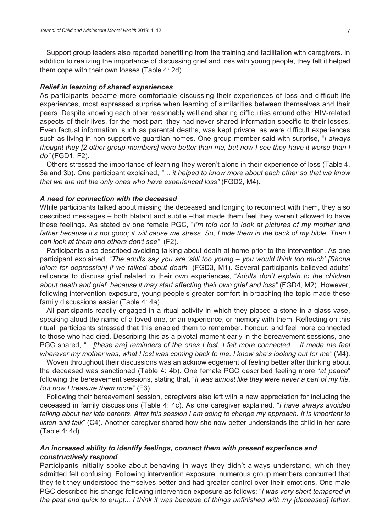Support group leaders also reported benefitting from the training and facilitation with caregivers. In addition to realizing the importance of discussing grief and loss with young people, they felt it helped them cope with their own losses (Table 4: 2d).

#### *Relief in learning of shared experiences*

As participants became more comfortable discussing their experiences of loss and difficult life experiences, most expressed surprise when learning of similarities between themselves and their peers. Despite knowing each other reasonably well and sharing difficulties around other HIV-related aspects of their lives, for the most part, they had never shared information specific to their losses. Even factual information, such as parental deaths, was kept private, as were difficult experiences such as living in non-supportive guardian homes. One group member said with surprise, "*I always thought they [2 other group members] were better than me, but now I see they have it worse than I do"* (FGD1, F2).

Others stressed the importance of learning they weren't alone in their experience of loss (Table 4, 3a and 3b). One participant explained, *"… it helped to know more about each other so that we know that we are not the only ones who have experienced loss"* (FGD2, M4).

#### *A need for connection with the deceased*

While participants talked about missing the deceased and longing to reconnect with them, they also described messages – both blatant and subtle –that made them feel they weren't allowed to have these feelings. As stated by one female PGC, "*I'm told not to look at pictures of my mother and*  father because it's not good; it will cause me stress. So, I hide them in the back of my bible. Then I *can look at them and others don't see"* (F2).

Participants also described avoiding talking about death at home prior to the intervention. As one participant explained, "*The adults say you are 'still too young – you would think too much' [Shona idiom for depression] if we talked about death*" (FGD3, M1). Several participants believed adults' reticence to discuss grief related to their own experiences, "*Adults don't explain to the children about death and grief, because it may start affecting their own grief and loss"* (FGD4, M2). However, following intervention exposure, young people's greater comfort in broaching the topic made these family discussions easier (Table 4: 4a).

All participants readily engaged in a ritual activity in which they placed a stone in a glass vase, speaking aloud the name of a loved one, or an experience, or memory with them. Reflecting on this ritual, participants stressed that this enabled them to remember, honour, and feel more connected to those who had died. Describing this as a pivotal moment early in the bereavement sessions, one PGC shared, "*…[these are] reminders of the ones I lost. I felt more connected… It made me feel wherever my mother was, what I lost was coming back to me. I know she's looking out for me"* (M4).

Woven throughout their discussions was an acknowledgement of feeling better after thinking about the deceased was sanctioned (Table 4: 4b). One female PGC described feeling more "*at peace*" following the bereavement sessions, stating that, "*It was almost like they were never a part of my life. But now I treasure them more*" (F3).

Following their bereavement session, caregivers also left with a new appreciation for including the deceased in family discussions (Table 4: 4c). As one caregiver explained, "*I have always avoided talking about her late parents. After this session I am going to change my approach. It is important to listen and talk*" (C4). Another caregiver shared how she now better understands the child in her care (Table 4: 4d).

# *An increased ability to identify feelings, connect them with present experience and constructively respond*

Participants initially spoke about behaving in ways they didn't always understand, which they admitted felt confusing. Following intervention exposure, numerous group members concurred that they felt they understood themselves better and had greater control over their emotions. One male PGC described his change following intervention exposure as follows: "*I was very short tempered in the past and quick to erupt... I think it was because of things unfinished with my [deceased] father.*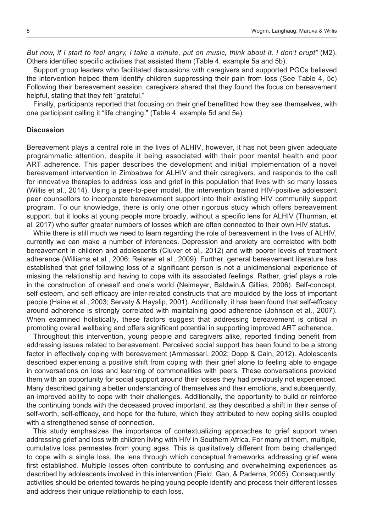*But now, if I start to feel angry, I take a minute, put on music, think about it. I don't erupt"* (M2). Others identified specific activities that assisted them (Table 4, example 5a and 5b).

Support group leaders who facilitated discussions with caregivers and supported PGCs believed the intervention helped them identify children suppressing their pain from loss (See Table 4, 5c) Following their bereavement session, caregivers shared that they found the focus on bereavement helpful, stating that they felt "grateful."

Finally, participants reported that focusing on their grief benefitted how they see themselves, with one participant calling it "life changing." (Table 4, example 5d and 5e).

#### **Discussion**

Bereavement plays a central role in the lives of ALHIV, however, it has not been given adequate programmatic attention, despite it being associated with their poor mental health and poor ART adherence. This paper describes the development and initial implementation of a novel bereavement intervention in Zimbabwe for ALHIV and their caregivers, and responds to the call for innovative therapies to address loss and grief in this population that lives with so many losses (Willis et al., 2014). Using a peer-to-peer model, the intervention trained HIV-positive adolescent peer counsellors to incorporate bereavement support into their existing HIV community support program. To our knowledge, there is only one other rigorous study which offers bereavement support, but it looks at young people more broadly, without a specific lens for ALHIV (Thurman, et al. 2017) who suffer greater numbers of losses which are often connected to their own HIV status.

While there is still much we need to learn regarding the role of bereavement in the lives of ALHIV, currently we can make a number of inferences. Depression and anxiety are correlated with both bereavement in children and adolescents (Cluver et al,. 2012) and with poorer levels of treatment adherence (Williams et al., 2006; Reisner et al., 2009). Further, general bereavement literature has established that grief following loss of a significant person is not a unidimensional experience of missing the relationship and having to cope with its associated feelings. Rather, grief plays a role in the construction of oneself and one's world (Neimeyer, Baldwin,& Gillies, 2006). Self-concept, self-esteem, and self-efficacy are inter-related constructs that are moulded by the loss of important people (Haine et al., 2003; Servaty & Hayslip, 2001). Additionally, it has been found that self-efficacy around adherence is strongly correlated with maintaining good adherence (Johnson et al., 2007). When examined holistically, these factors suggest that addressing bereavement is critical in promoting overall wellbeing and offers significant potential in supporting improved ART adherence.

Throughout this intervention, young people and caregivers alike, reported finding benefit from addressing issues related to bereavement. Perceived social support has been found to be a strong factor in effectively coping with bereavement (Ammassari, 2002; Dopp & Cain, 2012). Adolescents described experiencing a positive shift from coping with their grief alone to feeling able to engage in conversations on loss and learning of commonalities with peers. These conversations provided them with an opportunity for social support around their losses they had previously not experienced. Many described gaining a better understanding of themselves and their emotions, and subsequently, an improved ability to cope with their challenges. Additionally, the opportunity to build or reinforce the continuing bonds with the deceased proved important, as they described a shift in their sense of self-worth, self-efficacy, and hope for the future, which they attributed to new coping skills coupled with a strengthened sense of connection.

This study emphasizes the importance of contextualizing approaches to grief support when addressing grief and loss with children living with HIV in Southern Africa. For many of them, multiple, cumulative loss permeates from young ages. This is qualitatively different from being challenged to cope with a single loss, the lens through which conceptual frameworks addressing grief were first established. Multiple losses often contribute to confusing and overwhelming experiences as described by adolescents involved in this intervention (Field, Gao, & Paderna, 2005). Consequently, activities should be oriented towards helping young people identify and process their different losses and address their unique relationship to each loss.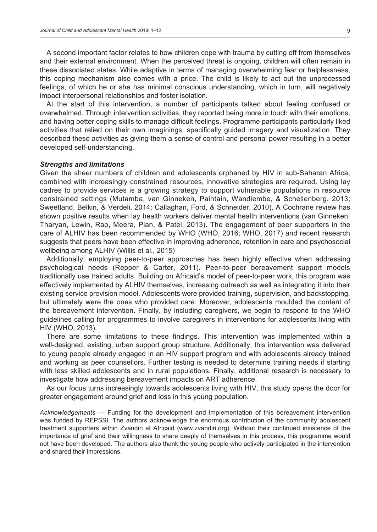A second important factor relates to how children cope with trauma by cutting off from themselves and their external environment. When the perceived threat is ongoing, children will often remain in these dissociated states. While adaptive in terms of managing overwhelming fear or helplessness, this coping mechanism also comes with a price. The child is likely to act out the unprocessed feelings, of which he or she has minimal conscious understanding, which in turn, will negatively impact interpersonal relationships and foster isolation.

At the start of this intervention, a number of participants talked about feeling confused or overwhelmed. Through intervention activities, they reported being more in touch with their emotions, and having better coping skills to manage difficult feelings. Programme participants particularly liked activities that relied on their own imaginings, specifically guided imagery and visualization. They described these activities as giving them a sense of control and personal power resulting in a better developed self-understanding.

#### *Strengths and limitations*

Given the sheer numbers of children and adolescents orphaned by HIV in sub-Saharan Africa, combined with increasingly constrained resources, innovative strategies are required. Using lay cadres to provide services is a growing strategy to support vulnerable populations in resource constrained settings (Mutamba, van Ginneken, Paintain, Wandiembe, & Schellenberg, 2013; Sweetland, Belkin, & Verdeli, 2014; Callaghan, Ford, & Schneider, 2010). A Cochrane review has shown positive results when lay health workers deliver mental health interventions (van Ginneken, Tharyan, Lewin, Rao, Meera, Pian, & Patel, 2013). The engagement of peer supporters in the care of ALHIV has been recommended by WHO (WHO, 2016; WHO, 2017) and recent research suggests that peers have been effective in improving adherence, retention in care and psychosocial wellbeing among ALHIV (Willis et al., 2015)

Additionally, employing peer-to-peer approaches has been highly effective when addressing psychological needs (Repper & Carter, 2011). Peer-to-peer bereavement support models traditionally use trained adults. Building on Africaid's model of peer-to-peer work, this program was effectively implemented by ALHIV themselves, increasing outreach as well as integrating it into their existing service provision model. Adolescents were provided training, supervision, and backstopping, but ultimately were the ones who provided care. Moreover, adolescents moulded the content of the bereavement intervention. Finally, by including caregivers, we begin to respond to the WHO guidelines calling for programmes to involve caregivers in interventions for adolescents living with HIV (WHO, 2013).

There are some limitations to these findings. This intervention was implemented within a well-designed, existing, urban support group structure. Additionally, this intervention was delivered to young people already engaged in an HIV support program and with adolescents already trained and working as peer counsellors. Further testing is needed to determine training needs if starting with less skilled adolescents and in rural populations. Finally, additional research is necessary to investigate how addressing bereavement impacts on ART adherence.

As our focus turns increasingly towards adolescents living with HIV, this study opens the door for greater engagement around grief and loss in this young population.

*Acknowledgements* — Funding for the development and implementation of this bereavement intervention was funded by REPSSI. The authors acknowledge the enormous contribution of the community adolescent treatment supporters within Zvandiri at Africaid (www.zvandiri.org). Without their continued insistence of the importance of grief and their willingness to share deeply of themselves in this process, this programme would not have been developed. The authors also thank the young people who actively participated in the intervention and shared their impressions.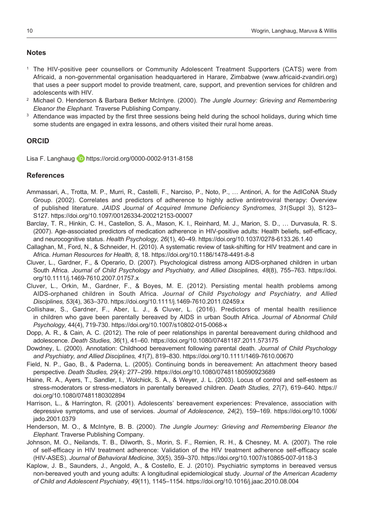#### **Notes**

- 1 The HIV-positive peer counsellors or Community Adolescent Treatment Supporters (CATS) were from Africaid, a non-governmental organisation headquartered in Harare, Zimbabwe (www.africaid-zvandiri.org) that uses a peer support model to provide treatment, care, support, and prevention services for children and adolescents with HIV.
- 2 Michael O. Henderson & Barbara Betker McIntyre. (2000). *The Jungle Journey: Grieving and Remembering Eleanor the Elephant.* Traverse Publishing Company.
- <sup>3</sup> Attendance was impacted by the first three sessions being held during the school holidays, during which time some students are engaged in extra lessons, and others visited their rural home areas.

#### **ORCID**

LisaF. Langhaug **b** https://orcid.org/0000-0002-9131-8158

#### **References**

- Ammassari, A., Trotta, M. P., Murri, R., Castelli, F., Narciso, P., Noto, P., … Antinori, A. for the AdICoNA Study Group. (2002). Correlates and predictors of adherence to highly active antiretroviral therapy: Overview of published literature. *JAIDS Journal of Acquired Immune Deficiency Syndromes, 31*(Suppl 3), S123– S127. https://doi.org/10.1097/00126334-200212153-00007
- Barclay, T. R., Hinkin, C. H., Castellon, S. A., Mason, K. I., Reinhard, M. J., Marion, S. D., … Durvasula, R. S. (2007). Age-associated predictors of medication adherence in HIV-positive adults: Health beliefs, self-efficacy, and neurocognitive status. *Health Psychology, 26*(1), 40–49. https://doi.org/10.1037/0278-6133.26.1.40
- Callaghan, M., Ford, N., & Schneider, H. (2010). A systematic review of task-shifting for HIV treatment and care in Africa. *Human Resources for Health, 8*, 18. https://doi.org/10.1186/1478-4491-8-8
- Cluver, L., Gardner, F., & Operario, D. (2007). Psychological distress among AIDS-orphaned children in urban South Africa. *Journal of Child Psychology and Psychiatry, and Allied Disciplines, 48*(8), 755–763. https://doi. org/10.1111/j.1469-7610.2007.01757.x
- Cluver, L., Orkin, M., Gardner, F., & Boyes, M. E. (2012). Persisting mental health problems among AIDS-orphaned children in South Africa. *Journal of Child Psychology and Psychiatry, and Allied Disciplines, 53*(4), 363–370. https://doi.org/10.1111/j.1469-7610.2011.02459.x
- Collishaw, S., Gardner, F., Aber, L. J., & Cluver, L. (2016). Predictors of mental health resilience in children who gave been parentally bereaved by AIDS in urban South Africa. *Journal of Abnormal Child Psychology,* 44(4), 719-730. https://doi.org/10.1007/s10802-015-0068-x
- Dopp, A. R., & Cain, A. C. (2012). The role of peer relationships in parental bereavement during childhood and adolescence. *Death Studies, 36*(1), 41–60. https://doi.org/10.1080/07481187.2011.573175
- Dowdney, L. (2000). Annotation: Childhood bereavement following parental death. *Journal of Child Psychology and Psychiatry, and Allied Disciplines, 41*(7), 819–830. https://doi.org/10.1111/1469-7610.00670
- Field, N. P., Gao, B., & Paderna, L. (2005). Continuing bonds in bereavement: An attachment theory based perspective. *Death Studies, 29*(4): 277–299. https://doi.org/10.1080/07481180590923689
- Haine, R. A., Ayers, T., Sandler, I., Wolchick, S. A., & Weyer, J. L. (2003). Locus of control and self-esteem as stress-moderators or stress-mediators in parentally bereaved children. *Death Studies, 27*(7), 619–640. https:// doi.org/10.1080/07481180302894
- Harrison, L., & Harrington, R. (2001). Adolescents' bereavement experiences: Prevalence, association with depressive symptoms, and use of services. *Journal of Adolescence, 24*(2), 159–169. https://doi.org/10.1006/ jado.2001.0379
- Henderson, M. O., & McIntyre, B. B. (2000). *The Jungle Journey: Grieving and Remembering Eleanor the Elephant.* Traverse Publishing Company.
- Johnson, M. O., Neilands, T. B., Dilworth, S., Morin, S. F., Remien, R. H., & Chesney, M. A. (2007). The role of self-efficacy in HIV treatment adherence: Validation of the HIV treatment adherence self-efficacy scale (HIV-ASES). *Journal of Behavioral Medicine, 30*(5), 359–370. https://doi.org/10.1007/s10865-007-9118-3
- Kaplow, J. B., Saunders, J., Angold, A., & Costello, E. J. (2010). Psychiatric symptoms in bereaved versus non-bereaved youth and young adults: A longitudinal epidemiological study. *Journal of the American Academy of Child and Adolescent Psychiatry, 49*(11), 1145–1154. https://doi.org/10.1016/j.jaac.2010.08.004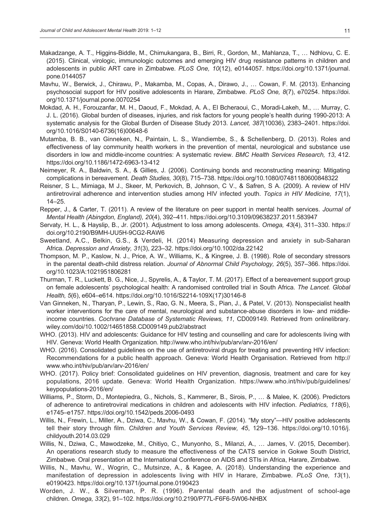- Makadzange, A. T., Higgins-Biddle, M., Chimukangara, B., Birri, R., Gordon, M., Mahlanza, T., … Ndhlovu, C. E. (2015). Clinical, virologic, immunologic outcomes and emerging HIV drug resistance patterns in children and adolescents in public ART care in Zimbabwe. *PLoS One, 10*(12), e0144057. https://doi.org/10.1371/journal. pone.0144057
- Mavhu, W., Berwick, J., Chirawu, P., Makamba, M., Copas, A., Dirawo, J., … Cowan, F. M. (2013). Enhancing psychosocial support for HIV positive adolescents in Harare, Zimbabwe. *PLoS One, 8*(7), e70254. https://doi. org/10.1371/journal.pone.0070254
- Mokdad, A. H., Forouzanfar, M. H., Daoud, F., Mokdad, A. A., El Bcheraoui, C., Moradi-Lakeh, M., … Murray, C. J. L. (2016). Global burden of diseases, injuries, and risk factors for young people's health during 1990-2013: A systematic analysis for the Global Burden of Disease Study 2013. *Lancet, 387*(10036), 2383–2401. https://doi. org/10.1016/S0140-6736(16)00648-6
- Mutamba, B. B., van Ginneken, N., Paintain, L. S., Wandiembe, S., & Schellenberg, D. (2013). Roles and effectiveness of lay community health workers in the prevention of mental, neurological and substance use disorders in low and middle-income countries: A systematic review. *BMC Health Services Research, 13*, 412. https://doi.org/10.1186/1472-6963-13-412
- Neimeyer, R. A., Baldwin, S. A., & Gillies, J. (2006). Continuing bonds and reconstructing meaning: Mitigating complications in bereavement. *Death Studies, 30*(8), 715–738. https://doi.org/10.1080/07481180600848322
- Reisner, S L., Mimiaga, M J., Skeer, M, Perkovich, B, Johnson, C V., & Safren, S A. (2009). A review of HIV antiretroviral adherence and intervention studies among HIV infected youth. *Topics in HIV Medicine, 17*(1), 14–25.
- Repper, J., & Carter, T. (2011). A review of the literature on peer support in mental health services. *Journal of Mental Health (Abingdon, England), 20*(4), 392–411. https://doi.org/10.3109/09638237.2011.583947
- Servaty, H. L., & Hayslip, B., Jr. (2001). Adjustment to loss among adolescents. *Omega, 43*(4), 311–330. https:// doi.org/10.2190/B9MH-UU5H-9CG2-RAW6
- Sweetland, A.C., Belkin, G.S., & Verdeli, H. (2014) Measuring depression and anxiety in sub-Saharan Africa. *Depression and Anxiety, 31*(3), 223–32. https://doi.org/10.1002/da.22142
- Thompson, M. P., Kaslow, N. J., Price, A. W., Williams, K., & Kingree, J. B. (1998). Role of secondary stressors in the parental death-child distress relation. *Journal of Abnormal Child Psychology, 26*(5), 357–366. https://doi. org/10.1023/A:1021951806281
- Thurman, T. R., Luckett, B. G., Nice, J., Spyrelis, A., & Taylor, T. M. (2017). Effect of a bereavement support group on female adolescents' psychological health: A randomised controlled trial in South Africa. *The Lancet. Global Health, 5*(6), e604–e614. https://doi.org/10.1016/S2214-109X(17)30146-8
- Van Ginneken, N., Tharyan, P., Lewin, S., Rao, G. N., Meera, S., Pian, J., & Patel, V. (2013). Nonspecialist health worker interventions for the care of mental, neurological and substance-abuse disorders in low- and middleincome countries. *Cochrane Database of Systematic Reviews, 11*, CD009149. Retrieved from onlinelibrary. wiley.com/doi/10.1002/14651858.CD009149.pub2/abstract
- WHO. (2013). HIV and adolescents: Guidance for HIV testing and counselling and care for adolescents living with HIV. Geneva: World Health Organization. http://www.who.int/hiv/pub/arv/arv-2016/en/
- WHO. (2016). Consolidated guidelines on the use of antiretroviral drugs for treating and preventing HIV infection: Recommendations for a public health approach. Geneva: World Health Organisation. Retrieved from http:// www.who.int/hiv/pub/arv/arv-2016/en/
- WHO. (2017). Policy brief: Consolidated guidelines on HIV prevention, diagnosis, treatment and care for key populations, 2016 update. Geneva: World Health Organization. https://www.who.int/hiv/pub/guidelines/ keypopulations-2016/en/
- Williams, P., Storm, D., Montepiedra, G., Nichols, S., Kammerer, B., Sirois, P., … & Malee, K. (2006). Predictors of adherence to antiretroviral medications in children and adolescents with HIV infection. *Pediatrics, 118*(6), e1745–e1757. https://doi.org/10.1542/peds.2006-0493
- Willis, N., Frewin, L., Miller, A., Dziwa, C., Mavhu, W., & Cowan, F. (2014). "My story"—HIV positive adolescents tell their story through film. *Children and Youth Services Review, 45*, 129–136. https://doi.org/10.1016/j. childyouth.2014.03.029
- Willis, N., Dziwa, C., Mawodzeke, M., Chitiyo, C., Munyonho, S., Milanzi, A., … James, V. (2015, December). An operations research study to measure the effectiveness of the CATS service in Gokwe South District, Zimbabwe. Oral presentation at the International Conference on AIDS and STIs in Africa, Harare, Zimbabwe.
- Willis, N., Mavhu, W., Wogrin, C., Mutsinze, A., & Kagee, A. (2018). Understanding the experience and manifestation of depression in adolescents living with HIV in Harare, Zimbabwe. *PLoS One, 13*(1), e0190423. https://doi.org/10.1371/journal.pone.0190423
- Worden, J. W., & Silverman, P. R. (1996). Parental death and the adjustment of school-age children. *Omega, 33*(2), 91–102. https://doi.org/10.2190/P77L-F6F6-5W06-NHBX